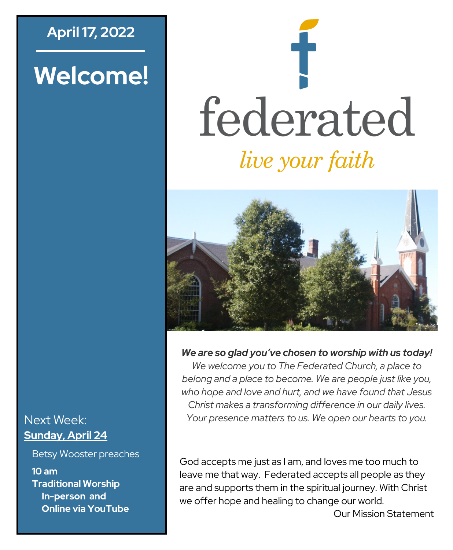# **April 17, 2022**

# **Welcome!**

# federated *live your faith*



*We are so glad you've chosen to worship with us today!*

*We welcome you to The Federated Church, a place to belong and a place to become. We are people just like you, who hope and love and hurt, and we have found that Jesus Christ makes a transforming difference in our daily lives. Your presence matters to us. We open our hearts to you.*

#### God accepts me just as I am, and loves me too much to leave me that way. Federated accepts all people as they are and supports them in the spiritual journey. With Christ we offer hope and healing to change our world.

Our Mission Statement

#### Next Week: **Sunday, April 24**

Betsy Wooster preaches

**10 am Traditional Worship In-person and Online via YouTube**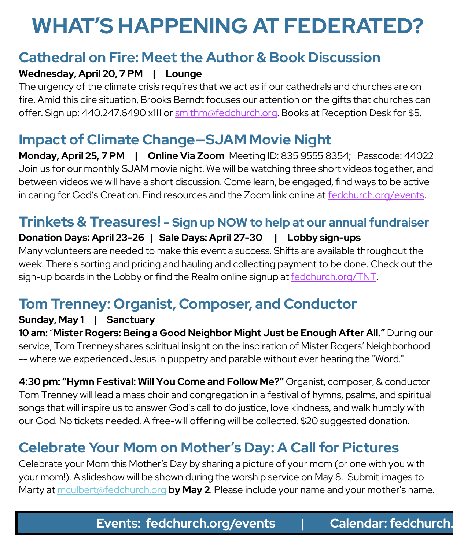# **WHAT'S HAPPENING AT FEDERATED?**

## **Cathedral on Fire: Meet the Author & Book Discussion**

#### **Wednesday, April 20, 7 PM | Lounge**

The urgency of the climate crisis requires that we act as if our cathedrals and churches are on fire. Amid this dire situation, Brooks Berndt focuses our attention on the gifts that churches can offer. Sign up: 440.247.6490 x111 or [smithm@fedchurch.org.](mailto:smithm@fedchurch.org) Books at Reception Desk for \$5.

# **Impact of Climate Change—SJAM Movie Night**

**Monday, April 25, 7 PM | Online Via Zoom** Meeting ID: 835 9555 8354; Passcode: 44022 Join us for our monthly SJAM movie night. We will be watching three short videos together, and between videos we will have a short discussion. Come learn, be engaged, find ways to be active in caring for God's Creation. Find resources and the Zoom link online at [fedchurch.org/events.](http://www.fedchurch.org/events)

#### **Trinkets & Treasures! - Sign up NOW to help at our annual fundraiser**

#### **Donation Days: April 23-26 | Sale Days: April 27-30 | Lobby sign-ups**

Many volunteers are needed to make this event a success. Shifts are available throughout the week. There's sorting and pricing and hauling and collecting payment to be done. Check out the sign-up boards in the Lobby or find the Realm online signup at [fedchurch.org/TNT.](http://www.fedchurch.org/TNT)

# **Tom Trenney: Organist, Composer, and Conductor**

#### **Sunday, May 1 | Sanctuary**

**10 am:** "**Mister Rogers: Being a Good Neighbor Might Just be Enough After All."** During our service, Tom Trenney shares spiritual insight on the inspiration of Mister Rogers' Neighborhood -- where we experienced Jesus in puppetry and parable without ever hearing the "Word."

**4:30 pm: "Hymn Festival: Will You Come and Follow Me?"** Organist, composer, & conductor Tom Trenney will lead a mass choir and congregation in a festival of hymns, psalms, and spiritual songs that will inspire us to answer God's call to do justice, love kindness, and walk humbly with our God. No tickets needed. A free-will offering will be collected. \$20 suggested donation.

# **Celebrate Your Mom on Mother's Day: A Call for Pictures**

Celebrate your Mom this Mother's Day by sharing a picture of your mom (or one with you with your mom!). A slideshow will be shown during the worship service on May 8. Submit images to Marty at [mculbert@fedchurch.org](mailto:mculbert@fedchurch.org?subject=Mother) **by May 2**. Please include your name and your mother's name.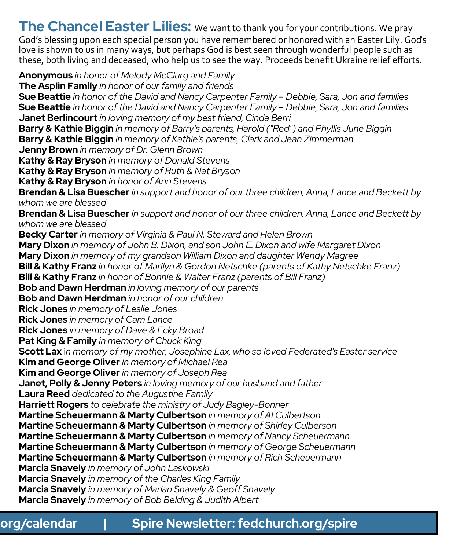**The Chancel Easter Lilies:** We want to thank you for your contributions. We pray

God's blessing upon each special person you have remembered or honored with an Easter Lily. God's love is shown to us in many ways, but perhaps God is best seen through wonderful people such as these, both living and deceased, who help us to see the way. Proceeds benefit Ukraine relief efforts.

**Anonymous** *in honor of Melody McClurg and Family* **The Asplin Family** *in honor of our family and friends* **Sue Beattie** *in honor of the David and Nancy Carpenter Family – Debbie, Sara, Jon and families* **Sue Beattie** *in honor of the David and Nancy Carpenter Family – Debbie, Sara, Jon and families* **Janet Berlincourt** *in loving memory of my best friend, Cinda Berri* **Barry & Kathie Biggin** *in memory of Barry's parents, Harold ("Red") and Phyllis June Biggin* **Barry & Kathie Biggin** *in memory of Kathie's parents, Clark and Jean Zimmerman* **Jenny Brown** *in memory of Dr. Glenn Brown* **Kathy & Ray Bryson** *in memory of Donald Stevens* **Kathy & Ray Bryson** *in memory of Ruth & Nat Bryson* **Kathy & Ray Bryson** *in honor of Ann Stevens* **Brendan & Lisa Buescher** *in support and honor of our three children, Anna, Lance and Beckett by whom we are blessed* **Brendan & Lisa Buescher** *in support and honor of our three children, Anna, Lance and Beckett by whom we are blessed* **Becky Carter** *in memory of Virginia & Paul N. Steward and Helen Brown* **Mary Dixon** *in memory of John B. Dixon, and son John E. Dixon and wife Margaret Dixon* **Mary Dixon** *in memory of my grandson William Dixon and daughter Wendy Magree* **Bill & Kathy Franz** *in honor of Marilyn & Gordon Netschke (parents of Kathy Netschke Franz)*  **Bill & Kathy Franz** *in honor of Bonnie & Walter Franz (parents of Bill Franz)*  **Bob and Dawn Herdman** *in loving memory of our parents* **Bob and Dawn Herdman** *in honor of our children* **Rick Jones** *in memory of Leslie Jones* **Rick Jones** *in memory of Cam Lance* **Rick Jones** *in memory of Dave & Ecky Broad* **Pat King & Family** *in memory of Chuck King* **Scott Lax** i*n memory of my mother, Josephine Lax, who so loved Federated's Easter service* **Kim and George Oliver** *in memory of Michael Rea* **Kim and George Oliver** *in memory of Joseph Rea* **Janet, Polly & Jenny Peters** *in loving memory of our husband and father* **Laura Reed** *dedicated to the Augustine Family* **Harriett Rogers** *to celebrate the ministry of Judy Bagley-Bonner* **Martine Scheuermann & Marty Culbertson** *in memory of Al Culbertson* **Martine Scheuermann & Marty Culbertson** *in memory of Shirley Culberson* **Martine Scheuermann & Marty Culbertson** *in memory of Nancy Scheuermann* **Martine Scheuermann & Marty Culbertson** *in memory of George Scheuermann* **Martine Scheuermann & Marty Culbertson** *in memory of Rich Scheuermann* **Marcia Snavely** *in memory of John Laskowski* **Marcia Snavely** *in memory of the Charles King Family* **Marcia Snavely** *in memory of Marian Snavely & Geoff Snavely* **Marcia Snavely** *in memory of Bob Belding & Judith Albert*